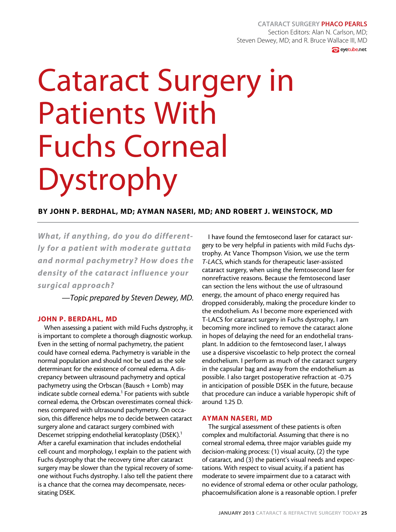## Cataract Surgery Phaco Pearls Section Editors: Alan N. Carlson, MD; Steven Dewey, MD; and R. Bruce Wallace III, MD **e** eyetube.net

# Cataract Surgery in Patients With Fuchs Corneal Dystrophy

# By John P. Berdhal, MD; Ayman Naseri, MD; and Robert J. Weinstock, MD

*What, if anything, do you do differently for a patient with moderate guttata and normal pachymetry? How does the density of the cataract influence your surgical approach?*

*—Topic prepared by Steven Dewey, MD.*

#### John P. Berdahl, MD

When assessing a patient with mild Fuchs dystrophy, it is important to complete a thorough diagnostic workup. Even in the setting of normal pachymetry, the patient could have corneal edema. Pachymetry is variable in the normal population and should not be used as the sole determinant for the existence of corneal edema. A discrepancy between ultrasound pachymetry and optical pachymetry using the Orbscan (Bausch + Lomb) may indicate subtle corneal edema.<sup>1</sup> For patients with subtle corneal edema, the Orbscan overestimates corneal thickness compared with ultrasound pachymetry. On occasion, this difference helps me to decide between cataract surgery alone and cataract surgery combined with Descemet stripping endothelial keratoplasty (DSEK).<sup>1</sup> After a careful examination that includes endothelial cell count and morphology, I explain to the patient with Fuchs dystrophy that the recovery time after cataract surgery may be slower than the typical recovery of someone without Fuchs dystrophy. I also tell the patient there is a chance that the cornea may decompensate, necessitating DSEK.

I have found the femtosecond laser for cataract surgery to be very helpful in patients with mild Fuchs dystrophy. At Vance Thompson Vision, we use the term *T-LACS*, which stands for therapeutic laser-assisted cataract surgery, when using the femtosecond laser for nonrefractive reasons. Because the femtosecond laser can section the lens without the use of ultrasound energy, the amount of phaco energy required has dropped considerably, making the procedure kinder to the endothelium. As I become more experienced with T-LACS for cataract surgery in Fuchs dystrophy, I am becoming more inclined to remove the cataract alone in hopes of delaying the need for an endothelial transplant. In addition to the femtosecond laser, I always use a dispersive viscoelastic to help protect the corneal endothelium. I perform as much of the cataract surgery in the capsular bag and away from the endothelium as possible. I also target postoperative refraction at -0.75 in anticipation of possible DSEK in the future, because that procedure can induce a variable hyperopic shift of around 1.25 D.

#### Ayman Naseri, MD

The surgical assessment of these patients is often complex and multifactorial. Assuming that there is no corneal stromal edema, three major variables guide my decision-making process: (1) visual acuity, (2) the type of cataract, and (3) the patient's visual needs and expectations. With respect to visual acuity, if a patient has moderate to severe impairment due to a cataract with no evidence of stromal edema or other ocular pathology, phacoemulsification alone is a reasonable option. I prefer